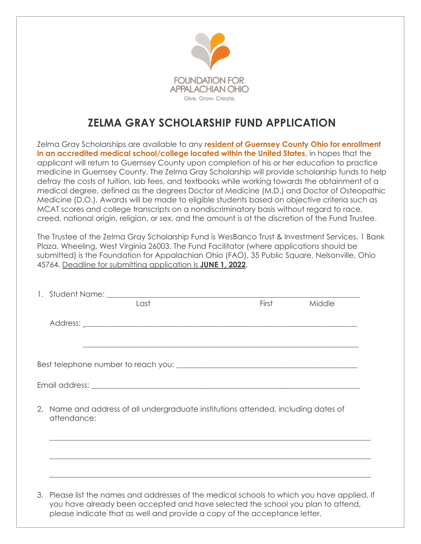

## **ZELMA GRAY SCHOLARSHIP FUND APPLICATION**

Zelma Gray Scholarships are available to any **resident of Guernsey County Ohio for enrollment in an accredited medical school/college located within the United States**, in hopes that the applicant will return to Guernsey County upon completion of his or her education to practice medicine in Guernsey County. The Zelma Gray Scholarship will provide scholarship funds to help defray the costs of tuition, lab fees, and textbooks while working towards the obtainment of a medical degree, defined as the degrees Doctor of Medicine (M.D.) and Doctor of Osteopathic Medicine (D.O.). Awards will be made to eligible students based on objective criteria such as MCAT scores and college transcripts on a nondiscriminatory basis without regard to race, creed, national origin, religion, or sex, and the amount is at the discretion of the Fund Trustee.

The Trustee of the Zelma Gray Scholarship Fund is WesBanco Trust & Investment Services, 1 Bank Plaza, Wheeling, West Virginia 26003. The Fund Facilitator (where applications should be submitted) is the Foundation for Appalachian Ohio (FAO), 35 Public Square, Nelsonville, Ohio 45764. Deadline for submitting application is **JUNE 1, 2022**.

|  | Last                                                                                                                                                                                                                                                        | <b>First</b> | Middle |
|--|-------------------------------------------------------------------------------------------------------------------------------------------------------------------------------------------------------------------------------------------------------------|--------------|--------|
|  |                                                                                                                                                                                                                                                             |              |        |
|  | ,我们也不能在这里的时候,我们也不能在这里的时候,我们也不能会在这里的时候,我们也不能会在这里的时候,我们也不能会在这里的时候,我们也不能会在这里的时候,我们也                                                                                                                                                                            |              |        |
|  |                                                                                                                                                                                                                                                             |              |        |
|  | 2. Name and address of all undergraduate institutions attended, including dates of<br>attendance:<br>,我们也不能在这里的时候,我们也不能在这里的时候,我们也不能会不能会不能会不能会不能会不能会不能会不能会不能会不能会。<br>第2012章 我们的时候,我们的时候,我们的时候,我们的时候,我们的时候,我们的时候,我们的时候,我们的时候,我们的时候,我们的时候,我们的时候,我们的时候,我        |              |        |
|  |                                                                                                                                                                                                                                                             |              |        |
|  | 3. Please list the names and addresses of the medical schools to which you have applied. If<br>you have already been accepted and have selected the school you plan to attend,<br>please indicate that as well and provide a copy of the acceptance letter. |              |        |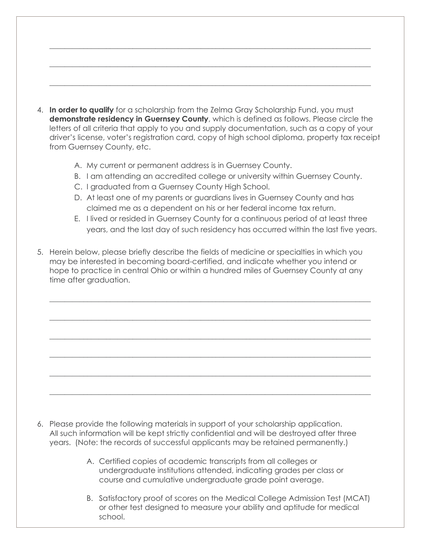4. **In order to qualify** for a scholarship from the Zelma Gray Scholarship Fund, you must **demonstrate residency in Guernsey County**, which is defined as follows. Please circle the letters of all criteria that apply to you and supply documentation, such as a copy of your driver's license, voter's registration card, copy of high school diploma, property tax receipt from Guernsey County, etc.

 $\_$  , and the set of the set of the set of the set of the set of the set of the set of the set of the set of the set of the set of the set of the set of the set of the set of the set of the set of the set of the set of th

 $\_$  , and the set of the set of the set of the set of the set of the set of the set of the set of the set of the set of the set of the set of the set of the set of the set of the set of the set of the set of the set of th

 $\_$  , and the set of the set of the set of the set of the set of the set of the set of the set of the set of the set of the set of the set of the set of the set of the set of the set of the set of the set of the set of th

- A. My current or permanent address is in Guernsey County.
- B. I am attending an accredited college or university within Guernsey County.
- C. I graduated from a Guernsey County High School.
- D. At least one of my parents or guardians lives in Guernsey County and has claimed me as a dependent on his or her federal income tax return.
- E. I lived or resided in Guernsey County for a continuous period of at least three years, and the last day of such residency has occurred within the last five years.
- 5. Herein below, please briefly describe the fields of medicine or specialties in which you may be interested in becoming board-certified, and indicate whether you intend or hope to practice in central Ohio or within a hundred miles of Guernsey County at any time after graduation.

 $\_$  , and the set of the set of the set of the set of the set of the set of the set of the set of the set of the set of the set of the set of the set of the set of the set of the set of the set of the set of the set of th

 $\_$  , and the set of the set of the set of the set of the set of the set of the set of the set of the set of the set of the set of the set of the set of the set of the set of the set of the set of the set of the set of th

 $\_$  , and the set of the set of the set of the set of the set of the set of the set of the set of the set of the set of the set of the set of the set of the set of the set of the set of the set of the set of the set of th

\_\_\_\_\_\_\_\_\_\_\_\_\_\_\_\_\_\_\_\_\_\_\_\_\_\_\_\_\_\_\_\_\_\_\_\_\_\_\_\_\_\_\_\_\_\_\_\_\_\_\_\_\_\_\_\_\_\_\_\_\_\_\_\_\_\_\_\_\_\_\_\_\_\_\_\_\_\_\_\_\_\_\_\_\_

\_\_\_\_\_\_\_\_\_\_\_\_\_\_\_\_\_\_\_\_\_\_\_\_\_\_\_\_\_\_\_\_\_\_\_\_\_\_\_\_\_\_\_\_\_\_\_\_\_\_\_\_\_\_\_\_\_\_\_\_\_\_\_\_\_\_\_\_\_\_\_\_\_\_\_\_\_\_\_\_\_\_\_\_\_

 $\_$  , and the set of the set of the set of the set of the set of the set of the set of the set of the set of the set of the set of the set of the set of the set of the set of the set of the set of the set of the set of th

- 6. Please provide the following materials in support of your scholarship application. All such information will be kept strictly confidential and will be destroyed after three years. (Note: the records of successful applicants may be retained permanently.)
	- A. Certified copies of academic transcripts from all colleges or undergraduate institutions attended, indicating grades per class or course and cumulative undergraduate grade point average.
	- B. Satisfactory proof of scores on the Medical College Admission Test (MCAT) or other test designed to measure your ability and aptitude for medical school.